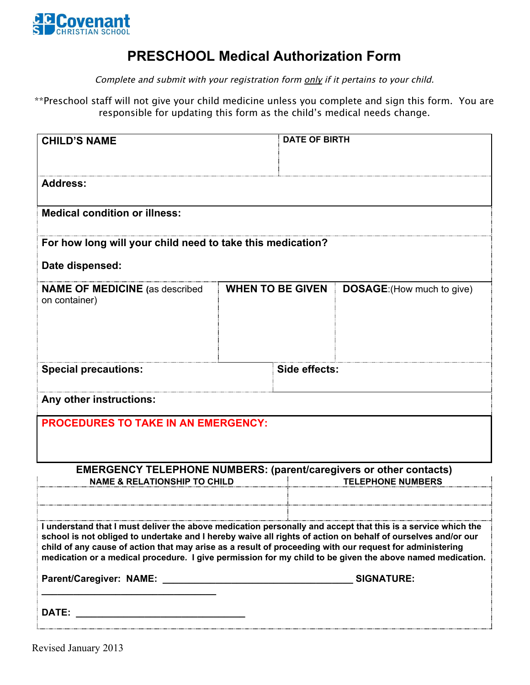

## **PRESCHOOL Medical Authorization Form**

Complete and submit with your registration form only if it pertains to your child.

\*\*Preschool staff will not give your child medicine unless you complete and sign this form. You are responsible for updating this form as the child's medical needs change.

| <b>CHILD'S NAME</b>                                                                                                                                                                                                                                                                                                                                                                                                                                   |  | <b>DATE OF BIRTH</b>    |                                   |  |  |
|-------------------------------------------------------------------------------------------------------------------------------------------------------------------------------------------------------------------------------------------------------------------------------------------------------------------------------------------------------------------------------------------------------------------------------------------------------|--|-------------------------|-----------------------------------|--|--|
|                                                                                                                                                                                                                                                                                                                                                                                                                                                       |  |                         |                                   |  |  |
| <b>Address:</b>                                                                                                                                                                                                                                                                                                                                                                                                                                       |  |                         |                                   |  |  |
| <b>Medical condition or illness:</b>                                                                                                                                                                                                                                                                                                                                                                                                                  |  |                         |                                   |  |  |
| For how long will your child need to take this medication?                                                                                                                                                                                                                                                                                                                                                                                            |  |                         |                                   |  |  |
| Date dispensed:                                                                                                                                                                                                                                                                                                                                                                                                                                       |  |                         |                                   |  |  |
| <b>NAME OF MEDICINE</b> (as described<br>on container)                                                                                                                                                                                                                                                                                                                                                                                                |  | <b>WHEN TO BE GIVEN</b> | <b>DOSAGE:</b> (How much to give) |  |  |
| <b>Special precautions:</b>                                                                                                                                                                                                                                                                                                                                                                                                                           |  | Side effects:           |                                   |  |  |
| Any other instructions:                                                                                                                                                                                                                                                                                                                                                                                                                               |  |                         |                                   |  |  |
| <b>PROCEDURES TO TAKE IN AN EMERGENCY:</b>                                                                                                                                                                                                                                                                                                                                                                                                            |  |                         |                                   |  |  |
| <b>EMERGENCY TELEPHONE NUMBERS: (parent/caregivers or other contacts)</b><br><b>NAME &amp; RELATIONSHIP TO CHILD</b><br><b>TELEPHONE NUMBERS</b>                                                                                                                                                                                                                                                                                                      |  |                         |                                   |  |  |
| I understand that I must deliver the above medication personally and accept that this is a service which the<br>school is not obliged to undertake and I hereby waive all rights of action on behalf of ourselves and/or our<br>child of any cause of action that may arise as a result of proceeding with our request for administering<br>medication or a medical procedure. I give permission for my child to be given the above named medication. |  |                         |                                   |  |  |
|                                                                                                                                                                                                                                                                                                                                                                                                                                                       |  |                         |                                   |  |  |
|                                                                                                                                                                                                                                                                                                                                                                                                                                                       |  |                         |                                   |  |  |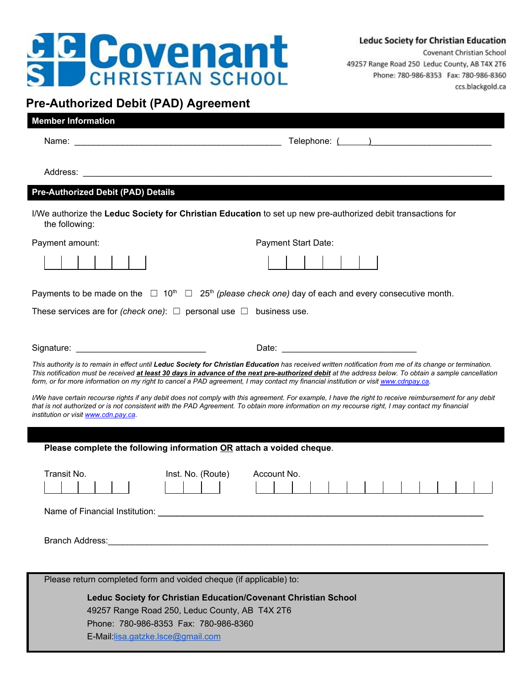## **B Covenant**

Covenant Christian School 49257 Range Road 250 Leduc County, AB T4X 2T6 Phone: 780-986-8353 Fax: 780-986-8360 ccs.blackgold.ca

## **Pre-Authorized Debit (PAD) Agreement**

| <b>Member Information</b>                                                                                                           |                                                                                                                                                                                                                                                                                                                    |  |  |
|-------------------------------------------------------------------------------------------------------------------------------------|--------------------------------------------------------------------------------------------------------------------------------------------------------------------------------------------------------------------------------------------------------------------------------------------------------------------|--|--|
|                                                                                                                                     |                                                                                                                                                                                                                                                                                                                    |  |  |
|                                                                                                                                     |                                                                                                                                                                                                                                                                                                                    |  |  |
| <b>Pre-Authorized Debit (PAD) Details</b>                                                                                           |                                                                                                                                                                                                                                                                                                                    |  |  |
| the following:                                                                                                                      | I/We authorize the Leduc Society for Christian Education to set up new pre-authorized debit transactions for                                                                                                                                                                                                       |  |  |
| Payment amount:                                                                                                                     | Payment Start Date:                                                                                                                                                                                                                                                                                                |  |  |
|                                                                                                                                     |                                                                                                                                                                                                                                                                                                                    |  |  |
|                                                                                                                                     | Payments to be made on the $\Box$ 10 <sup>th</sup> $\Box$ 25 <sup>th</sup> (please check one) day of each and every consecutive month.                                                                                                                                                                             |  |  |
| These services are for (check one): $\Box$ personal use $\Box$ business use.                                                        |                                                                                                                                                                                                                                                                                                                    |  |  |
|                                                                                                                                     |                                                                                                                                                                                                                                                                                                                    |  |  |
|                                                                                                                                     |                                                                                                                                                                                                                                                                                                                    |  |  |
| form, or for more information on my right to cancel a PAD agreement, I may contact my financial institution or visit www.cdnpay.ca. | This authority is to remain in effect until Leduc Society for Christian Education has received written notification from me of its change or termination.<br>This notification must be received at least 30 days in advance of the next pre-authorized debit at the address below. To obtain a sample cancellation |  |  |
| institution or visit www.cdn.pay.ca.                                                                                                | I/We have certain recourse rights if any debit does not comply with this agreement. For example, I have the right to receive reimbursement for any debit<br>that is not authorized or is not consistent with the PAD Agreement. To obtain more information on my recourse right, I may contact my financial        |  |  |
|                                                                                                                                     |                                                                                                                                                                                                                                                                                                                    |  |  |
| Please complete the following information OR attach a voided cheque.                                                                |                                                                                                                                                                                                                                                                                                                    |  |  |
| Transit No.<br>Inst. No. (Route)                                                                                                    | Account No.                                                                                                                                                                                                                                                                                                        |  |  |
|                                                                                                                                     |                                                                                                                                                                                                                                                                                                                    |  |  |
|                                                                                                                                     |                                                                                                                                                                                                                                                                                                                    |  |  |
|                                                                                                                                     |                                                                                                                                                                                                                                                                                                                    |  |  |
|                                                                                                                                     |                                                                                                                                                                                                                                                                                                                    |  |  |
| Please return completed form and voided cheque (if applicable) to:                                                                  |                                                                                                                                                                                                                                                                                                                    |  |  |
| Leduc Society for Christian Education/Covenant Christian School                                                                     |                                                                                                                                                                                                                                                                                                                    |  |  |
| 49257 Range Road 250, Leduc County, AB T4X 2T6                                                                                      |                                                                                                                                                                                                                                                                                                                    |  |  |
| Phone: 780-986-8353 Fax: 780-986-8360                                                                                               |                                                                                                                                                                                                                                                                                                                    |  |  |
| E-Mail:lisa.gatzke.lsce@gmail.com                                                                                                   |                                                                                                                                                                                                                                                                                                                    |  |  |